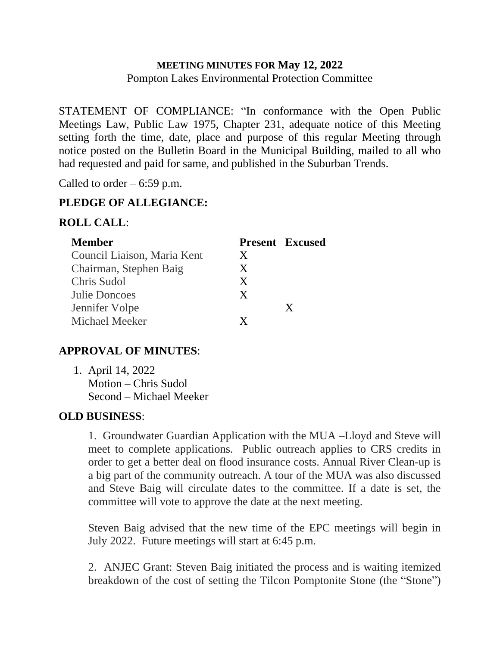## **MEETING MINUTES FOR May 12, 2022** Pompton Lakes Environmental Protection Committee

STATEMENT OF COMPLIANCE: "In conformance with the Open Public Meetings Law, Public Law 1975, Chapter 231, adequate notice of this Meeting setting forth the time, date, place and purpose of this regular Meeting through notice posted on the Bulletin Board in the Municipal Building, mailed to all who had requested and paid for same, and published in the Suburban Trends.

Called to order  $-6:59$  p.m.

## **PLEDGE OF ALLEGIANCE:**

### **ROLL CALL**:

| <b>Member</b>               |   | <b>Present Excused</b> |
|-----------------------------|---|------------------------|
| Council Liaison, Maria Kent | X |                        |
| Chairman, Stephen Baig      | X |                        |
| Chris Sudol                 | X |                        |
| Julie Doncoes               | X |                        |
| Jennifer Volpe              |   | X                      |
| <b>Michael Meeker</b>       | X |                        |

### **APPROVAL OF MINUTES**:

1. April 14, 2022 Motion – Chris Sudol Second – Michael Meeker

# **OLD BUSINESS**:

1. Groundwater Guardian Application with the MUA –Lloyd and Steve will meet to complete applications. Public outreach applies to CRS credits in order to get a better deal on flood insurance costs. Annual River Clean-up is a big part of the community outreach. A tour of the MUA was also discussed and Steve Baig will circulate dates to the committee. If a date is set, the committee will vote to approve the date at the next meeting.

Steven Baig advised that the new time of the EPC meetings will begin in July 2022. Future meetings will start at 6:45 p.m.

2. ANJEC Grant: Steven Baig initiated the process and is waiting itemized breakdown of the cost of setting the Tilcon Pomptonite Stone (the "Stone")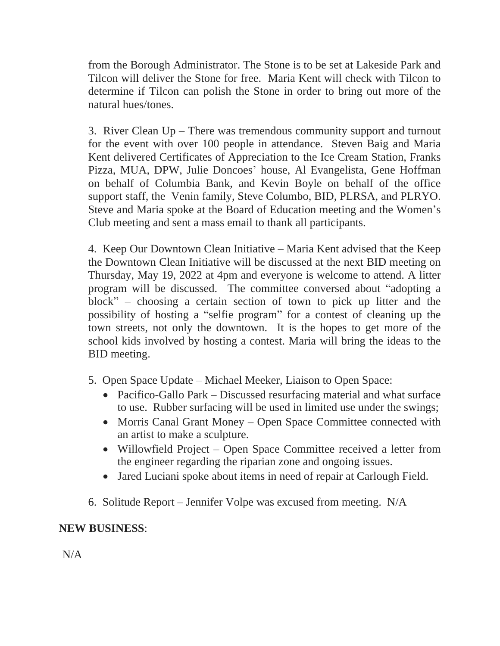from the Borough Administrator. The Stone is to be set at Lakeside Park and Tilcon will deliver the Stone for free. Maria Kent will check with Tilcon to determine if Tilcon can polish the Stone in order to bring out more of the natural hues/tones.

3. River Clean Up – There was tremendous community support and turnout for the event with over 100 people in attendance. Steven Baig and Maria Kent delivered Certificates of Appreciation to the Ice Cream Station, Franks Pizza, MUA, DPW, Julie Doncoes' house, Al Evangelista, Gene Hoffman on behalf of Columbia Bank, and Kevin Boyle on behalf of the office support staff, the Venin family, Steve Columbo, BID, PLRSA, and PLRYO. Steve and Maria spoke at the Board of Education meeting and the Women's Club meeting and sent a mass email to thank all participants.

4. Keep Our Downtown Clean Initiative – Maria Kent advised that the Keep the Downtown Clean Initiative will be discussed at the next BID meeting on Thursday, May 19, 2022 at 4pm and everyone is welcome to attend. A litter program will be discussed. The committee conversed about "adopting a block" – choosing a certain section of town to pick up litter and the possibility of hosting a "selfie program" for a contest of cleaning up the town streets, not only the downtown. It is the hopes to get more of the school kids involved by hosting a contest. Maria will bring the ideas to the BID meeting.

- 5. Open Space Update Michael Meeker, Liaison to Open Space:
	- Pacifico-Gallo Park Discussed resurfacing material and what surface to use. Rubber surfacing will be used in limited use under the swings;
	- Morris Canal Grant Money Open Space Committee connected with an artist to make a sculpture.
	- Willowfield Project Open Space Committee received a letter from the engineer regarding the riparian zone and ongoing issues.
	- Jared Luciani spoke about items in need of repair at Carlough Field.
- 6. Solitude Report Jennifer Volpe was excused from meeting. N/A

# **NEW BUSINESS**:

N/A